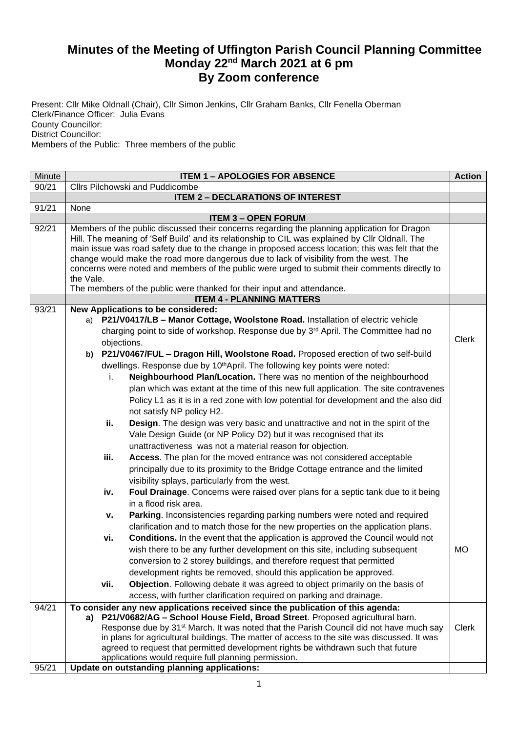## **Minutes of the Meeting of Uffington Parish Council Planning Committee Monday 22nd March 2021 at 6 pm By Zoom conference**

Present: Cllr Mike Oldnall (Chair), Cllr Simon Jenkins, Cllr Graham Banks, Cllr Fenella Oberman Clerk/Finance Officer: Julia Evans County Councillor: District Councillor: Members of the Public: Three members of the public

| Cllrs Pilchowski and Puddicombe<br>90/21<br><b>ITEM 2 - DECLARATIONS OF INTEREST</b><br>91/21<br>None                                                                                                                                                                                                                                                                                                                                                                                                                 |              |
|-----------------------------------------------------------------------------------------------------------------------------------------------------------------------------------------------------------------------------------------------------------------------------------------------------------------------------------------------------------------------------------------------------------------------------------------------------------------------------------------------------------------------|--------------|
|                                                                                                                                                                                                                                                                                                                                                                                                                                                                                                                       |              |
|                                                                                                                                                                                                                                                                                                                                                                                                                                                                                                                       |              |
|                                                                                                                                                                                                                                                                                                                                                                                                                                                                                                                       |              |
| <b>ITEM 3 - OPEN FORUM</b>                                                                                                                                                                                                                                                                                                                                                                                                                                                                                            |              |
| 92/21<br>Members of the public discussed their concerns regarding the planning application for Dragon<br>Hill. The meaning of 'Self Build' and its relationship to CIL was explained by CIIr Oldnall. The<br>main issue was road safety due to the change in proposed access location; this was felt that the<br>change would make the road more dangerous due to lack of visibility from the west. The<br>concerns were noted and members of the public were urged to submit their comments directly to<br>the Vale. |              |
| The members of the public were thanked for their input and attendance.                                                                                                                                                                                                                                                                                                                                                                                                                                                |              |
| <b>ITEM 4 - PLANNING MATTERS</b>                                                                                                                                                                                                                                                                                                                                                                                                                                                                                      |              |
| 93/21<br>New Applications to be considered:<br>a) P21/V0417/LB - Manor Cottage, Woolstone Road. Installation of electric vehicle                                                                                                                                                                                                                                                                                                                                                                                      |              |
| charging point to side of workshop. Response due by 3 <sup>rd</sup> April. The Committee had no                                                                                                                                                                                                                                                                                                                                                                                                                       |              |
| objections.                                                                                                                                                                                                                                                                                                                                                                                                                                                                                                           | <b>Clerk</b> |
| b) P21/V0467/FUL - Dragon Hill, Woolstone Road. Proposed erection of two self-build                                                                                                                                                                                                                                                                                                                                                                                                                                   |              |
| dwellings. Response due by 10 <sup>th</sup> April. The following key points were noted:                                                                                                                                                                                                                                                                                                                                                                                                                               |              |
| Neighbourhood Plan/Location. There was no mention of the neighbourhood<br>i.                                                                                                                                                                                                                                                                                                                                                                                                                                          |              |
| plan which was extant at the time of this new full application. The site contravenes                                                                                                                                                                                                                                                                                                                                                                                                                                  |              |
| Policy L1 as it is in a red zone with low potential for development and the also did                                                                                                                                                                                                                                                                                                                                                                                                                                  |              |
| not satisfy NP policy H2.                                                                                                                                                                                                                                                                                                                                                                                                                                                                                             |              |
| ii.<br>Design. The design was very basic and unattractive and not in the spirit of the                                                                                                                                                                                                                                                                                                                                                                                                                                |              |
| Vale Design Guide (or NP Policy D2) but it was recognised that its                                                                                                                                                                                                                                                                                                                                                                                                                                                    |              |
| unattractiveness was not a material reason for objection.                                                                                                                                                                                                                                                                                                                                                                                                                                                             |              |
| iii.<br>Access. The plan for the moved entrance was not considered acceptable                                                                                                                                                                                                                                                                                                                                                                                                                                         |              |
| principally due to its proximity to the Bridge Cottage entrance and the limited                                                                                                                                                                                                                                                                                                                                                                                                                                       |              |
| visibility splays, particularly from the west.                                                                                                                                                                                                                                                                                                                                                                                                                                                                        |              |
| Foul Drainage. Concerns were raised over plans for a septic tank due to it being<br>iv.                                                                                                                                                                                                                                                                                                                                                                                                                               |              |
| in a flood risk area.                                                                                                                                                                                                                                                                                                                                                                                                                                                                                                 |              |
| Parking. Inconsistencies regarding parking numbers were noted and required<br>v.                                                                                                                                                                                                                                                                                                                                                                                                                                      |              |
| clarification and to match those for the new properties on the application plans.                                                                                                                                                                                                                                                                                                                                                                                                                                     |              |
| <b>Conditions.</b> In the event that the application is approved the Council would not<br>vi.                                                                                                                                                                                                                                                                                                                                                                                                                         |              |
| wish there to be any further development on this site, including subsequent<br><b>MO</b>                                                                                                                                                                                                                                                                                                                                                                                                                              |              |
| conversion to 2 storey buildings, and therefore request that permitted                                                                                                                                                                                                                                                                                                                                                                                                                                                |              |
| development rights be removed, should this application be approved.                                                                                                                                                                                                                                                                                                                                                                                                                                                   |              |
| vii.<br>Objection. Following debate it was agreed to object primarily on the basis of                                                                                                                                                                                                                                                                                                                                                                                                                                 |              |
| access, with further clarification required on parking and drainage.                                                                                                                                                                                                                                                                                                                                                                                                                                                  |              |
| 94/21<br>To consider any new applications received since the publication of this agenda:                                                                                                                                                                                                                                                                                                                                                                                                                              |              |
| a) P21/V0682/AG - School House Field, Broad Street. Proposed agricultural barn.                                                                                                                                                                                                                                                                                                                                                                                                                                       |              |
| Response due by 31 <sup>st</sup> March. It was noted that the Parish Council did not have much say                                                                                                                                                                                                                                                                                                                                                                                                                    | <b>Clerk</b> |
| in plans for agricultural buildings. The matter of access to the site was discussed. It was                                                                                                                                                                                                                                                                                                                                                                                                                           |              |
| agreed to request that permitted development rights be withdrawn such that future                                                                                                                                                                                                                                                                                                                                                                                                                                     |              |
| applications would require full planning permission.<br>Update on outstanding planning applications:<br>95/21                                                                                                                                                                                                                                                                                                                                                                                                         |              |